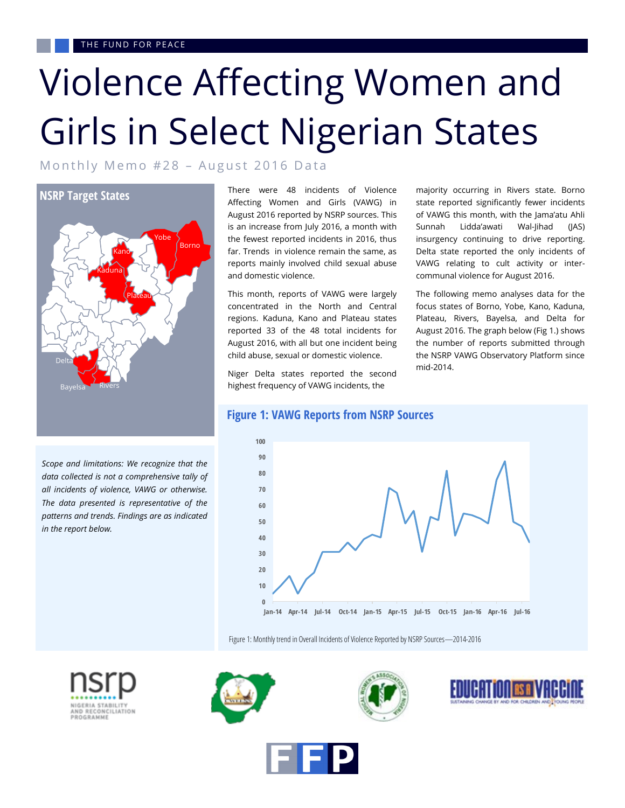## Violence Affecting Women and Girls in Select Nigerian States

Monthly Memo  $#28$  – August 2016 Data



*Scope and limitations: We recognize that the data collected is not a comprehensive tally of all incidents of violence, VAWG or otherwise. The data presented is representative of the patterns and trends. Findings are as indicated in the report below.* 

There were 48 incidents of Violence Affecting Women and Girls (VAWG) in August 2016 reported by NSRP sources. This is an increase from July 2016, a month with the fewest reported incidents in 2016, thus far. Trends in violence remain the same, as reports mainly involved child sexual abuse and domestic violence.

This month, reports of VAWG were largely concentrated in the North and Central regions. Kaduna, Kano and Plateau states reported 33 of the 48 total incidents for August 2016, with all but one incident being child abuse, sexual or domestic violence.

Niger Delta states reported the second highest frequency of VAWG incidents, the

majority occurring in Rivers state. Borno state reported significantly fewer incidents of VAWG this month, with the Jama'atu Ahli Sunnah Lidda'awati Wal-Jihad (JAS) insurgency continuing to drive reporting. Delta state reported the only incidents of VAWG relating to cult activity or intercommunal violence for August 2016.

The following memo analyses data for the focus states of Borno, Yobe, Kano, Kaduna, Plateau, Rivers, Bayelsa, and Delta for August 2016. The graph below (Fig 1.) shows the number of reports submitted through the NSRP VAWG Observatory Platform since mid-2014.

**Figure 1: VAWG Reports from NSRP Sources**



Figure 1: Monthly trend in Overall Incidents of Violence Reported by NSRP Sources—2014-2016









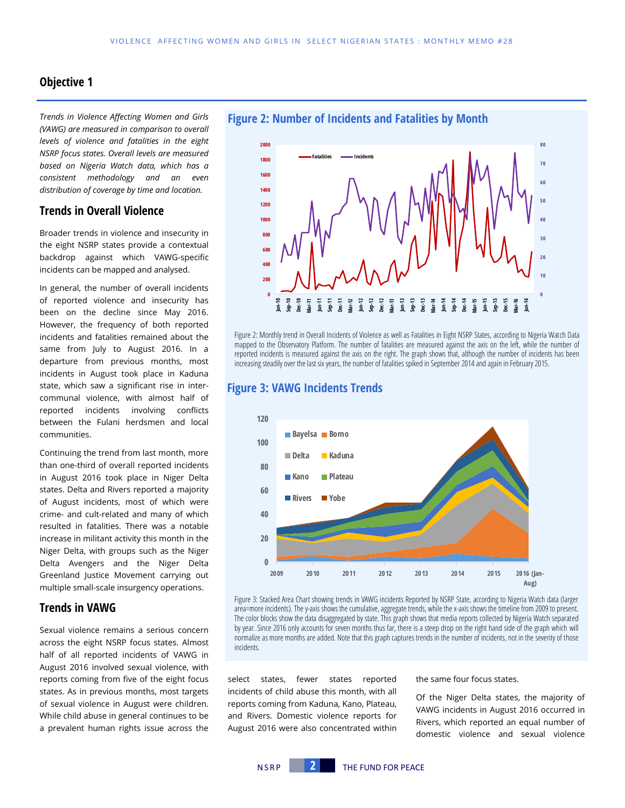#### **Objective 1**

*Trends in Violence Affecting Women and Girls (VAWG) are measured in comparison to overall levels of violence and fatalities in the eight NSRP focus states. Overall levels are measured based on Nigeria Watch data, which has a consistent methodology and an even distribution of coverage by time and location.*

#### **Trends in Overall Violence**

Broader trends in violence and insecurity in the eight NSRP states provide a contextual backdrop against which VAWG-specific incidents can be mapped and analysed.

In general, the number of overall incidents of reported violence and insecurity has been on the decline since May 2016. However, the frequency of both reported incidents and fatalities remained about the same from July to August 2016. In a departure from previous months, most incidents in August took place in Kaduna state, which saw a significant rise in intercommunal violence, with almost half of reported incidents involving conflicts between the Fulani herdsmen and local communities.

Continuing the trend from last month, more than one-third of overall reported incidents in August 2016 took place in Niger Delta states. Delta and Rivers reported a majority of August incidents, most of which were crime- and cult-related and many of which resulted in fatalities. There was a notable increase in militant activity this month in the Niger Delta, with groups such as the Niger Delta Avengers and the Niger Delta Greenland Justice Movement carrying out multiple small-scale insurgency operations.

#### **Trends in VAWG**

Sexual violence remains a serious concern across the eight NSRP focus states. Almost half of all reported incidents of VAWG in August 2016 involved sexual violence, with reports coming from five of the eight focus states. As in previous months, most targets of sexual violence in August were children. While child abuse in general continues to be a prevalent human rights issue across the



Figure 2: Monthly trend in Overall Incidents of Violence as well as Fatalities in Eight NSRP States, according to Nigeria Watch Data mapped to the Observatory Platform. The number of fatalities are measured against the axis on the left, while the number of reported incidents is measured against the axis on the right. The graph shows that, although the number of incidents has been increasing steadily over the last six years, the number of fatalities spiked in September 2014 and again in February 2015.

#### **Figure 3: VAWG Incidents Trends**



Figure 3: Stacked Area Chart showing trends in VAWG incidents Reported by NSRP State, according to Nigeria Watch data (larger area=more incidents). The y-axis shows the cumulative, aggregate trends, while the x-axis shows the timeline from 2009 to present. The color blocks show the data disaggregated by state. This graph shows that media reports collected by Nigeria Watch separated by year. Since 2016 only accounts for seven months thus far, there is a steep drop on the right hand side of the graph which will normalize as more months are added. Note that this graph captures trends in the number of incidents, not in the severity of those incidents.

select states, fewer states reported incidents of child abuse this month, with all reports coming from Kaduna, Kano, Plateau, and Rivers. Domestic violence reports for August 2016 were also concentrated within the same four focus states.

Of the Niger Delta states, the majority of VAWG incidents in August 2016 occurred in Rivers, which reported an equal number of domestic violence and sexual violence

**Figure 2: Number of Incidents and Fatalities by Month**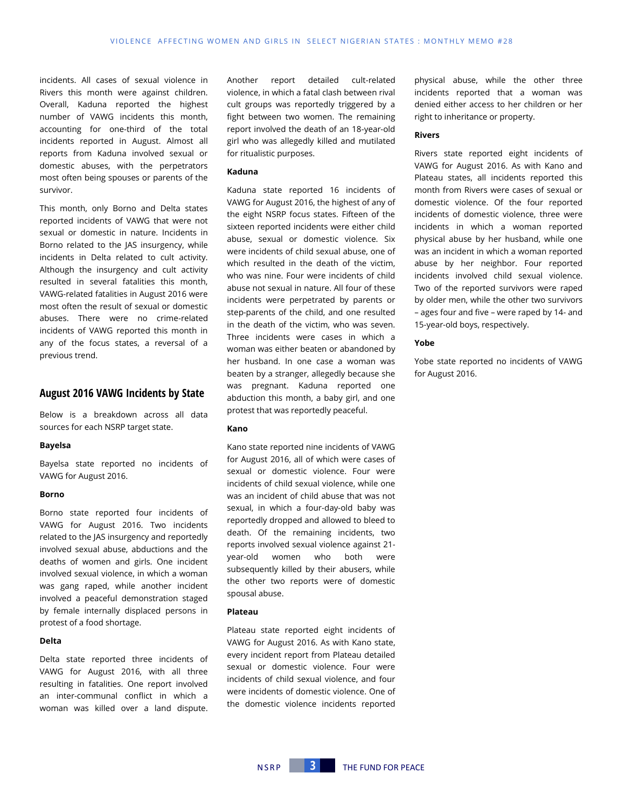incidents. All cases of sexual violence in Rivers this month were against children. Overall, Kaduna reported the highest number of VAWG incidents this month, accounting for one-third of the total incidents reported in August. Almost all reports from Kaduna involved sexual or domestic abuses, with the perpetrators most often being spouses or parents of the survivor.

This month, only Borno and Delta states reported incidents of VAWG that were not sexual or domestic in nature. Incidents in Borno related to the JAS insurgency, while incidents in Delta related to cult activity. Although the insurgency and cult activity resulted in several fatalities this month, VAWG-related fatalities in August 2016 were most often the result of sexual or domestic abuses. There were no crime-related incidents of VAWG reported this month in any of the focus states, a reversal of a previous trend.

#### **August 2016 VAWG Incidents by State**

Below is a breakdown across all data sources for each NSRP target state.

#### **Bayelsa**

Bayelsa state reported no incidents of VAWG for August 2016.

#### **Borno**

Borno state reported four incidents of VAWG for August 2016. Two incidents related to the JAS insurgency and reportedly involved sexual abuse, abductions and the deaths of women and girls. One incident involved sexual violence, in which a woman was gang raped, while another incident involved a peaceful demonstration staged by female internally displaced persons in protest of a food shortage.

#### **Delta**

Delta state reported three incidents of VAWG for August 2016, with all three resulting in fatalities. One report involved an inter-communal conflict in which a woman was killed over a land dispute. Another report detailed cult-related violence, in which a fatal clash between rival cult groups was reportedly triggered by a fight between two women. The remaining report involved the death of an 18-year-old girl who was allegedly killed and mutilated for ritualistic purposes.

#### **Kaduna**

Kaduna state reported 16 incidents of VAWG for August 2016, the highest of any of the eight NSRP focus states. Fifteen of the sixteen reported incidents were either child abuse, sexual or domestic violence. Six were incidents of child sexual abuse, one of which resulted in the death of the victim, who was nine. Four were incidents of child abuse not sexual in nature. All four of these incidents were perpetrated by parents or step-parents of the child, and one resulted in the death of the victim, who was seven. Three incidents were cases in which a woman was either beaten or abandoned by her husband. In one case a woman was beaten by a stranger, allegedly because she was pregnant. Kaduna reported one abduction this month, a baby girl, and one protest that was reportedly peaceful.

#### **Kano**

Kano state reported nine incidents of VAWG for August 2016, all of which were cases of sexual or domestic violence. Four were incidents of child sexual violence, while one was an incident of child abuse that was not sexual, in which a four-day-old baby was reportedly dropped and allowed to bleed to death. Of the remaining incidents, two reports involved sexual violence against 21 year-old women who both were subsequently killed by their abusers, while the other two reports were of domestic spousal abuse.

#### **Plateau**

Plateau state reported eight incidents of VAWG for August 2016. As with Kano state, every incident report from Plateau detailed sexual or domestic violence. Four were incidents of child sexual violence, and four were incidents of domestic violence. One of the domestic violence incidents reported

physical abuse, while the other three incidents reported that a woman was denied either access to her children or her right to inheritance or property.

#### **Rivers**

Rivers state reported eight incidents of VAWG for August 2016. As with Kano and Plateau states, all incidents reported this month from Rivers were cases of sexual or domestic violence. Of the four reported incidents of domestic violence, three were incidents in which a woman reported physical abuse by her husband, while one was an incident in which a woman reported abuse by her neighbor. Four reported incidents involved child sexual violence. Two of the reported survivors were raped by older men, while the other two survivors – ages four and five – were raped by 14- and 15-year-old boys, respectively.

#### **Yobe**

Yobe state reported no incidents of VAWG for August 2016.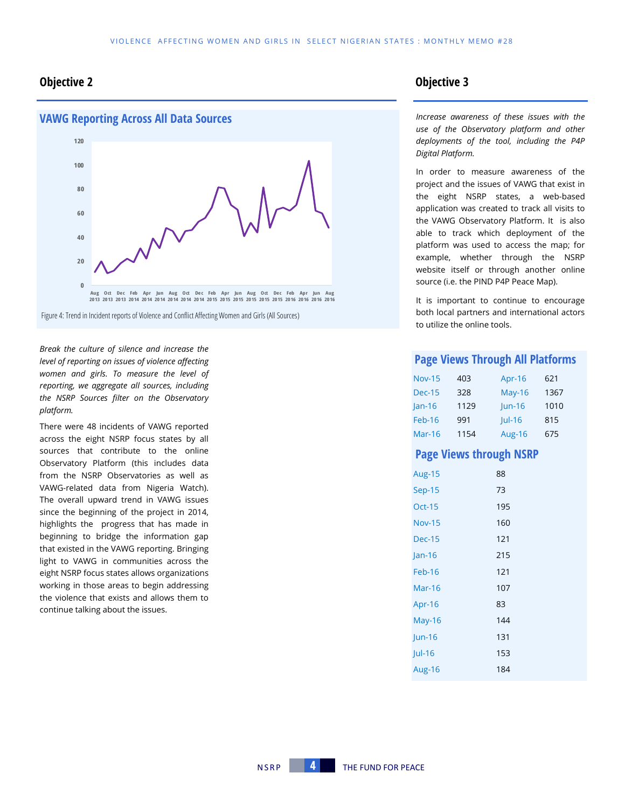#### **Objective 2 Objective 3**



Figure 4: Trend in Incident reports of Violence and Conflict Affecting Women and Girls (All Sources)

*Break the culture of silence and increase the level of reporting on issues of violence affecting women and girls. To measure the level of reporting, we aggregate all sources, including the NSRP Sources filter on the Observatory platform.*

There were 48 incidents of VAWG reported across the eight NSRP focus states by all sources that contribute to the online Observatory Platform (this includes data from the NSRP Observatories as well as VAWG-related data from Nigeria Watch). The overall upward trend in VAWG issues since the beginning of the project in 2014, highlights the progress that has made in beginning to bridge the information gap that existed in the VAWG reporting. Bringing light to VAWG in communities across the eight NSRP focus states allows organizations working in those areas to begin addressing the violence that exists and allows them to continue talking about the issues.

*Increase awareness of these issues with the use of the Observatory platform and other deployments of the tool, including the P4P Digital Platform.* 

In order to measure awareness of the project and the issues of VAWG that exist in the eight NSRP states, a web-based application was created to track all visits to the VAWG Observatory Platform. It is also able to track which deployment of the platform was used to access the map; for example, whether through the NSRP website itself or through another online source (i.e. the PIND P4P Peace Map).

It is important to continue to encourage both local partners and international actors to utilize the online tools.

#### **Page Views Through All Platforms**

| <b>Nov-15</b> | 403  | Apr-16        | 621  |
|---------------|------|---------------|------|
| <b>Dec-15</b> | 328  | <b>May-16</b> | 1367 |
| $lan-16$      | 1129 | $ un-16$      | 1010 |
| Feb-16        | 991  | $ ul-16$      | 815  |
| $Mar-16$      | 1154 | <b>Aug-16</b> | 675  |

#### **Page Views through NSRP**

| <b>Aug-15</b> | 88  |
|---------------|-----|
| <b>Sep-15</b> | 73  |
| <b>Oct-15</b> | 195 |
| <b>Nov-15</b> | 160 |
| <b>Dec-15</b> | 121 |
| $Jan-16$      | 215 |
| Feb-16        | 121 |
| Mar-16        | 107 |
| Apr-16        | 83  |
| May-16        | 144 |
| $ un-16$      | 131 |
| $ ul-16$      | 153 |
| Aug-16        | 184 |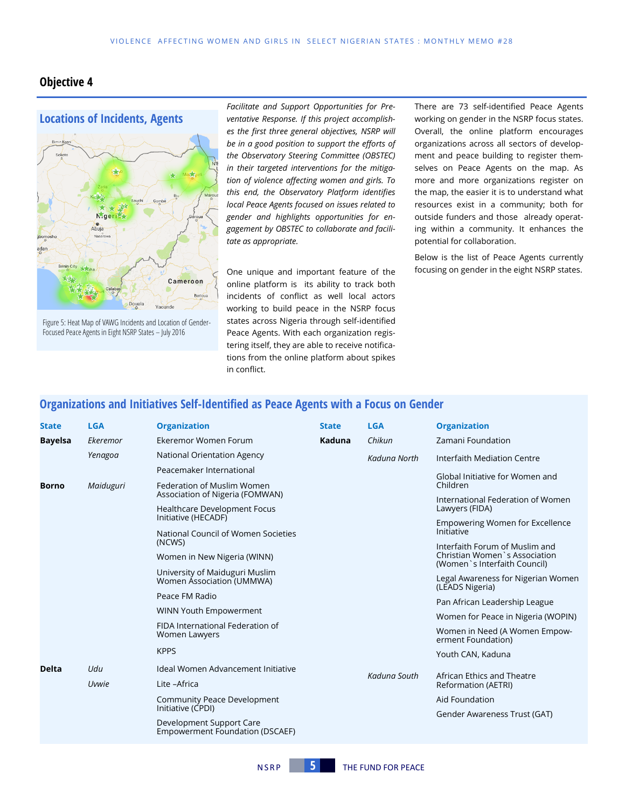#### **Objective 4**

# **Locations of Incidents, Agents** N.ger

Figure 5: Heat Map of VAWG Incidents and Location of Gender-Focused Peace Agents in Eight NSRP States – July 2016

Douala

Cameroon

Yaounde

*Facilitate and Support Opportunities for Preventative Response. If this project accomplishes the first three general objectives, NSRP will be in a good position to support the efforts of the Observatory Steering Committee (OBSTEC) in their targeted interventions for the mitigation of violence affecting women and girls. To this end, the Observatory Platform identifies local Peace Agents focused on issues related to gender and highlights opportunities for engagement by OBSTEC to collaborate and facilitate as appropriate.* 

One unique and important feature of the online platform is its ability to track both incidents of conflict as well local actors working to build peace in the NSRP focus states across Nigeria through self-identified Peace Agents. With each organization registering itself, they are able to receive notifications from the online platform about spikes in conflict.

There are 73 self-identified Peace Agents working on gender in the NSRP focus states. Overall, the online platform encourages organizations across all sectors of development and peace building to register themselves on Peace Agents on the map. As more and more organizations register on the map, the easier it is to understand what resources exist in a community; both for outside funders and those already operating within a community. It enhances the potential for collaboration.

Below is the list of Peace Agents currently focusing on gender in the eight NSRP states.

#### **Organizations and Initiatives Self-Identified as Peace Agents with a Focus on Gender**

| <b>State</b>   | <b>LGA</b> | <b>Organization</b>                                                | <b>State</b> | <b>LGA</b>   | <b>Organization</b>                                                                             |
|----------------|------------|--------------------------------------------------------------------|--------------|--------------|-------------------------------------------------------------------------------------------------|
| <b>Bayelsa</b> | Ekeremor   | Ekeremor Women Forum                                               | Kaduna       | Chikun       | Zamani Foundation                                                                               |
|                | Yenagoa    | National Orientation Agency                                        |              | Kaduna North | Interfaith Mediation Centre                                                                     |
|                |            | Peacemaker International                                           |              |              | Global Initiative for Women and                                                                 |
| <b>Borno</b>   | Maiduguri  | Federation of Muslim Women<br>Association of Nigeria (FOMWAN)      |              |              | Children                                                                                        |
|                |            | <b>Healthcare Development Focus</b>                                |              |              | International Federation of Women<br>Lawyers (FIDA)                                             |
|                |            | Initiative (HECADF)                                                |              |              | Empowering Women for Excellence                                                                 |
|                |            | National Council of Women Societies                                |              |              | Initiative                                                                                      |
|                |            | (NCWS)                                                             |              |              | Interfaith Forum of Muslim and<br>Christian Women's Association<br>(Women`s Interfaith Council) |
|                |            | Women in New Nigeria (WINN)                                        |              |              |                                                                                                 |
|                |            | University of Maiduguri Muslim<br>Women Association (UMMWA)        |              |              | Legal Awareness for Nigerian Women<br>(LEADS Nigeria)                                           |
|                |            | Peace FM Radio                                                     |              |              | Pan African Leadership League                                                                   |
|                |            | WINN Youth Empowerment                                             |              |              | Women for Peace in Nigeria (WOPIN)                                                              |
|                |            | FIDA International Federation of<br>Women Lawyers                  |              |              | Women in Need (A Women Empow-<br>erment Foundation)                                             |
|                |            | <b>KPPS</b>                                                        |              |              | Youth CAN, Kaduna                                                                               |
| <b>Delta</b>   | Udu        | Ideal Women Advancement Initiative                                 |              |              | African Ethics and Theatre<br>Reformation (AETRI)                                               |
|                | Uvwie      | Lite -Africa                                                       |              | Kaduna South |                                                                                                 |
|                |            | <b>Community Peace Development</b><br>Initiative (CPDI)            |              |              | Aid Foundation                                                                                  |
|                |            |                                                                    |              |              | Gender Awareness Trust (GAT)                                                                    |
|                |            | Development Support Care<br><b>Empowerment Foundation (DSCAEF)</b> |              |              |                                                                                                 |